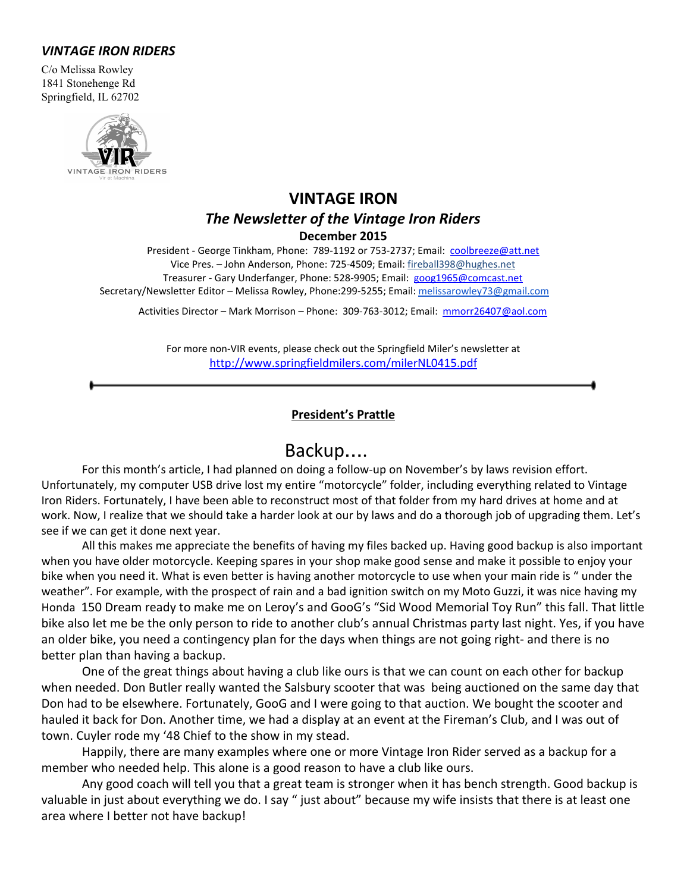#### *VINTAGE IRON RIDERS*

C/o Melissa Rowley 1841 Stonehenge Rd Springfield, IL 62702



## **VINTAGE IRON** *The Newsletter of the Vintage Iron Riders* **December 2015**

President - George Tinkham, Phone: 789-1192 or 753-2737; Email: [coolbreeze@att.net](mailto:coolbreeze@att.net) Vice Pres. – John Anderson, Phone: 725-4509; Email: fireball398@hughes.net Treasurer - Gary Underfanger, Phone: 528-9905; Email: [goog1965@comcast.net](mailto:goog1965@comcast.net) Secretary/Newsletter Editor - Melissa Rowley, Phone:299-5255; Email: [melissarowley73@gmail.com](mailto:melissarowley73@gmail.com)

Activities Director – Mark Morrison – Phone: 309-763-3012; Email: [mmorr26407@aol.com](mailto:mmorr26407@aol.com)

For more non-VIR events, please check out the Springfield Miler's newsletter at <http://www.springfieldmilers.com/milerNL0415.pdf>

#### **President's Prattle**

## Backup….

For this month's article, I had planned on doing a follow-up on November's by laws revision effort. Unfortunately, my computer USB drive lost my entire "motorcycle" folder, including everything related to Vintage Iron Riders. Fortunately, I have been able to reconstruct most of that folder from my hard drives at home and at work. Now, I realize that we should take a harder look at our by laws and do a thorough job of upgrading them. Let's see if we can get it done next year.

All this makes me appreciate the benefits of having my files backed up. Having good backup is also important when you have older motorcycle. Keeping spares in your shop make good sense and make it possible to enjoy your bike when you need it. What is even better is having another motorcycle to use when your main ride is " under the weather". For example, with the prospect of rain and a bad ignition switch on my Moto Guzzi, it was nice having my Honda 150 Dream ready to make me on Leroy's and GooG's "Sid Wood Memorial Toy Run" this fall. That little bike also let me be the only person to ride to another club's annual Christmas party last night. Yes, if you have an older bike, you need a contingency plan for the days when things are not going right- and there is no better plan than having a backup.

One of the great things about having a club like ours is that we can count on each other for backup when needed. Don Butler really wanted the Salsbury scooter that was being auctioned on the same day that Don had to be elsewhere. Fortunately, GooG and I were going to that auction. We bought the scooter and hauled it back for Don. Another time, we had a display at an event at the Fireman's Club, and I was out of town. Cuyler rode my '48 Chief to the show in my stead.

Happily, there are many examples where one or more Vintage Iron Rider served as a backup for a member who needed help. This alone is a good reason to have a club like ours.

Any good coach will tell you that a great team is stronger when it has bench strength. Good backup is valuable in just about everything we do. I say " just about" because my wife insists that there is at least one area where I better not have backup!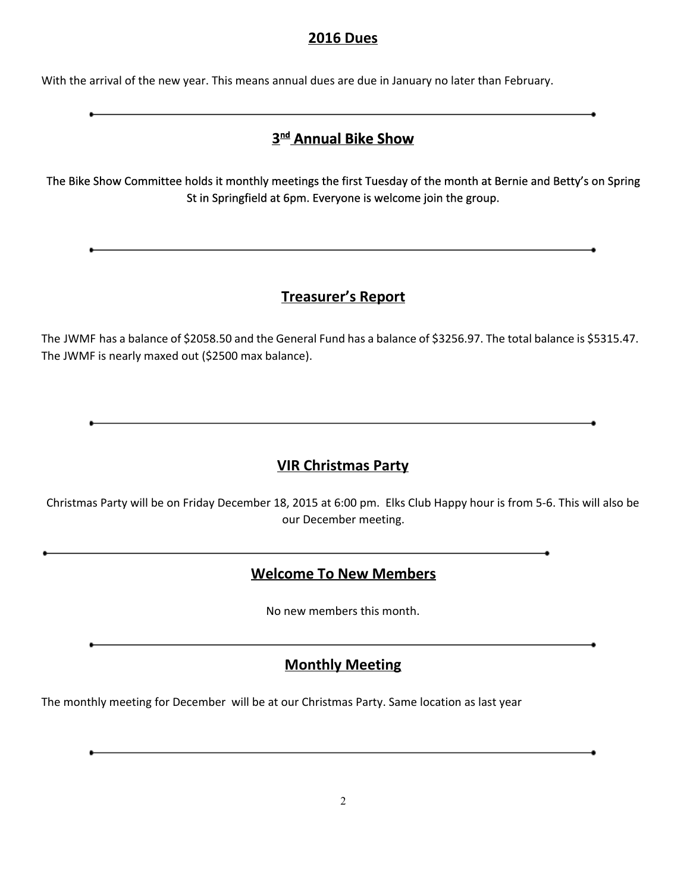### **2016 Dues**

With the arrival of the new year. This means annual dues are due in January no later than February.

# **3ndAnnual Bike Show**

The Bike Show Committee holds it monthly meetings the first Tuesday of the month at Bernie and Betty's on Spring St in Springfield at 6pm. Everyone is welcome join the group.

### **Treasurer's Report**

The JWMF has a balance of \$2058.50 and the General Fund has a balance of \$3256.97. The total balance is \$5315.47. The JWMF is nearly maxed out (\$2500 max balance).

### **VIR Christmas Party**

Christmas Party will be on Friday December 18, 2015 at 6:00 pm. Elks Club Happy hour is from 5-6. This will also be our December meeting.

### **Welcome To New Members**

the control of the control of the control of the control of the control of

No new members this month.

### **Monthly Meeting**

The monthly meeting for December will be at our Christmas Party. Same location as last year